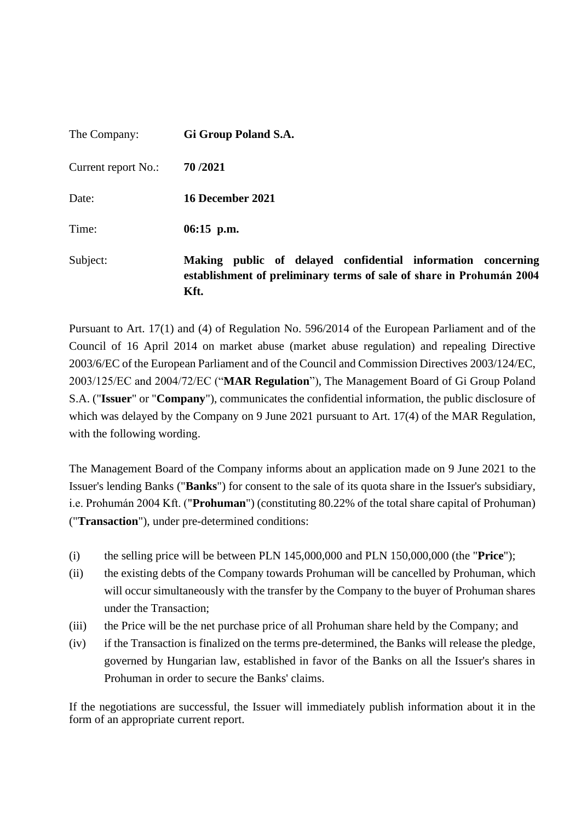| The Company:        | Gi Group Poland S.A.                                                                                                                         |
|---------------------|----------------------------------------------------------------------------------------------------------------------------------------------|
| Current report No.: | 70/2021                                                                                                                                      |
| Date:               | 16 December 2021                                                                                                                             |
| Time:               | $06:15$ p.m.                                                                                                                                 |
| Subject:            | Making public of delayed confidential information concerning<br>establishment of preliminary terms of sale of share in Prohumán 2004<br>Kft. |

Pursuant to Art. 17(1) and (4) of Regulation No. 596/2014 of the European Parliament and of the Council of 16 April 2014 on market abuse (market abuse regulation) and repealing Directive 2003/6/EC of the European Parliament and of the Council and Commission Directives 2003/124/EC, 2003/125/EC and 2004/72/EC ("**MAR Regulation**"), The Management Board of Gi Group Poland S.A. ("**Issuer**" or "**Company**"), communicates the confidential information, the public disclosure of which was delayed by the Company on 9 June 2021 pursuant to Art. 17(4) of the MAR Regulation, with the following wording.

The Management Board of the Company informs about an application made on 9 June 2021 to the Issuer's lending Banks ("**Banks**") for consent to the sale of its quota share in the Issuer's subsidiary, i.e. Prohumán 2004 Kft. ("**Prohuman**") (constituting 80.22% of the total share capital of Prohuman) ("**Transaction**"), under pre-determined conditions:

- (i) the selling price will be between PLN 145,000,000 and PLN 150,000,000 (the "**Price**");
- (ii) the existing debts of the Company towards Prohuman will be cancelled by Prohuman, which will occur simultaneously with the transfer by the Company to the buyer of Prohuman shares under the Transaction;
- (iii) the Price will be the net purchase price of all Prohuman share held by the Company; and
- (iv) if the Transaction is finalized on the terms pre-determined, the Banks will release the pledge, governed by Hungarian law, established in favor of the Banks on all the Issuer's shares in Prohuman in order to secure the Banks' claims.

If the negotiations are successful, the Issuer will immediately publish information about it in the form of an appropriate current report.